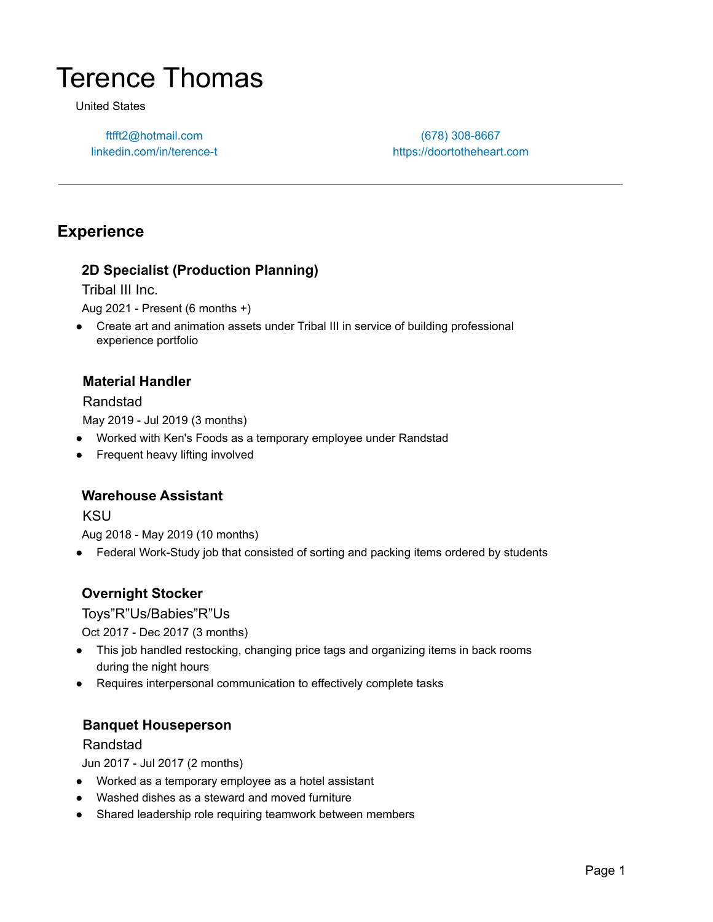# Terence Thomas

United States

ftfft2@hotmail.com linkedin.com/in/terence-t

(678) 308-8667 https://doortotheheart.com

## **Experience**

#### **2D Specialist (Production Planning)**

Tribal III Inc.

Aug 2021 - Present (6 months +)

● Create art and animation assets under Tribal III in service of building professional experience portfolio

#### **Material Handler**

#### Randstad

May 2019 - Jul 2019 (3 months)

- Worked with Ken's Foods as a temporary employee under Randstad
- Frequent heavy lifting involved

#### **Warehouse Assistant**

KSU

Aug 2018 - May 2019 (10 months)

• Federal Work-Study job that consisted of sorting and packing items ordered by students

#### **Overnight Stocker**

Toys"R"Us/Babies"R"Us

Oct 2017 - Dec 2017 (3 months)

- This job handled restocking, changing price tags and organizing items in back rooms during the night hours
- Requires interpersonal communication to effectively complete tasks

#### **Banquet Houseperson**

#### Randstad

Jun 2017 - Jul 2017 (2 months)

- Worked as a temporary employee as a hotel assistant
- Washed dishes as a steward and moved furniture
- Shared leadership role requiring teamwork between members